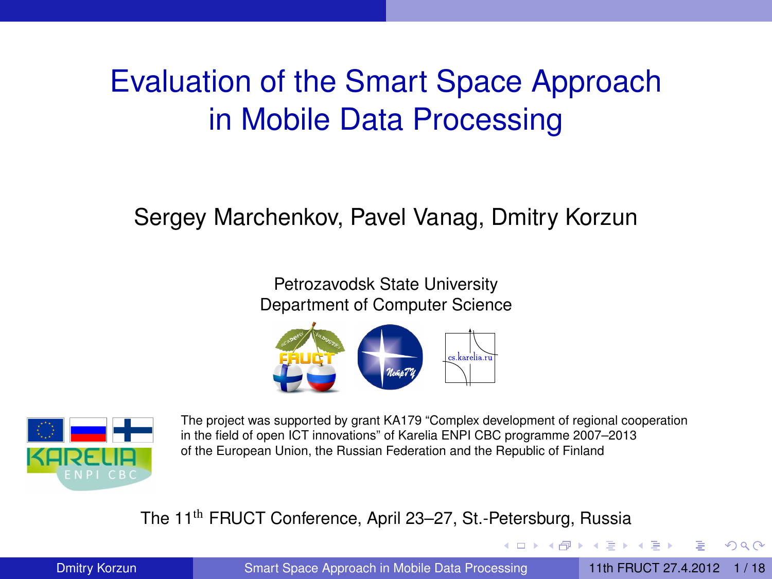# <span id="page-0-1"></span>Evaluation of the Smart Space Approach in Mobile Data Processing

#### Sergey Marchenkov, Pavel Vanag, Dmitry Korzun

Petrozavodsk State University Department of Computer Science





The project was supported by grant KA179 "Complex development of regional cooperation in the field of open ICT innovations" of Karelia ENPI CBC programme 2007–2013 of the European Union, the Russian Federation and the Republic of Finland

#### The 11th FRUCT Conference, April 23–27, St.-Petersburg, Russia

Dmitry Korzun Summart Space Approach in Mobile Data Processing 11th FRUCT 27.4.2012 1/18

<span id="page-0-0"></span> $\Omega$ 

イロト イ押ト イヨト イヨト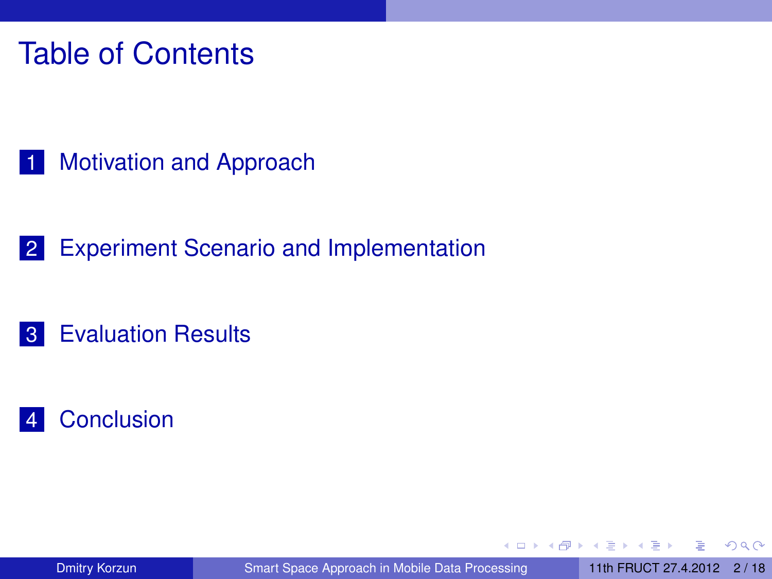### Table of Contents

1 [Motivation and Approach](#page-2-0)

2 [Experiment Scenario and Implementation](#page-7-0)

#### 3 [Evaluation Results](#page-13-0)

#### 4 [Conclusion](#page-17-0)

4 17 18  $\leftarrow$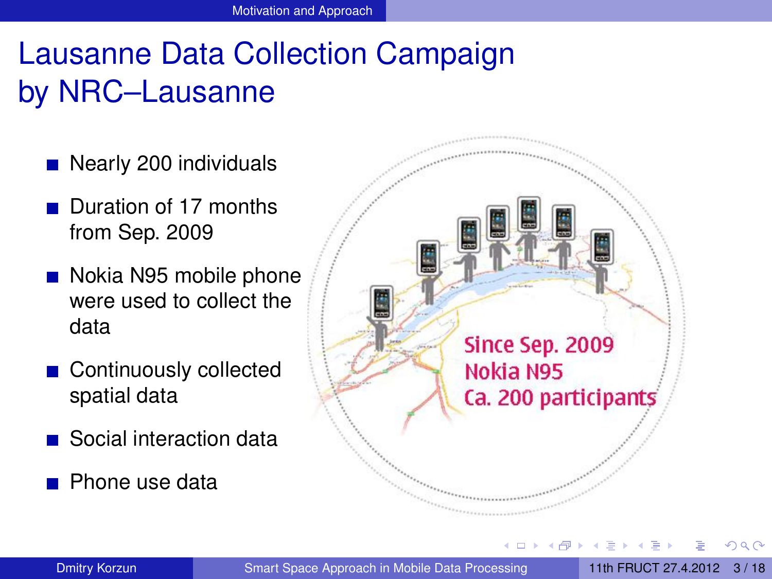# Lausanne Data Collection Campaign by NRC–Lausanne

- Nearly 200 individuals
- Duration of 17 months from Sep. 2009
- Nokia N95 mobile phone were used to collect the data
- Continuously collected spatial data
- Social interaction data
- **Phone use data**



 $+$   $+$   $+$   $-$ 

Dmitry Korzun Summart Space Approach in Mobile Data Processing 11th FRUCT 27.4.2012 3/18

<span id="page-2-0"></span> $\Omega$ 

医下半面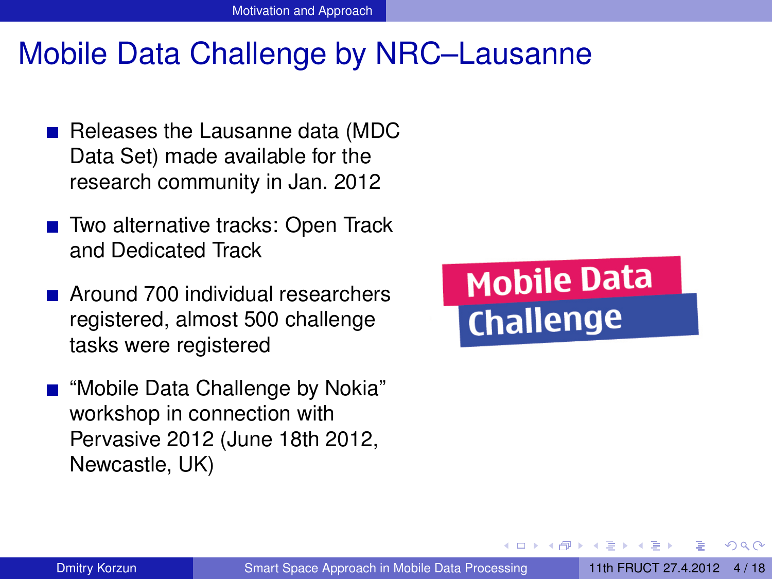#### Mobile Data Challenge by NRC–Lausanne

- Releases the Lausanne data (MDC Data Set) made available for the research community in Jan. 2012
- Two alternative tracks: Open Track and Dedicated Track
- Around 700 individual researchers registered, almost 500 challenge tasks were registered
- "Mobile Data Challenge by Nokia" workshop in connection with Pervasive 2012 (June 18th 2012, Newcastle, UK)



<span id="page-3-0"></span>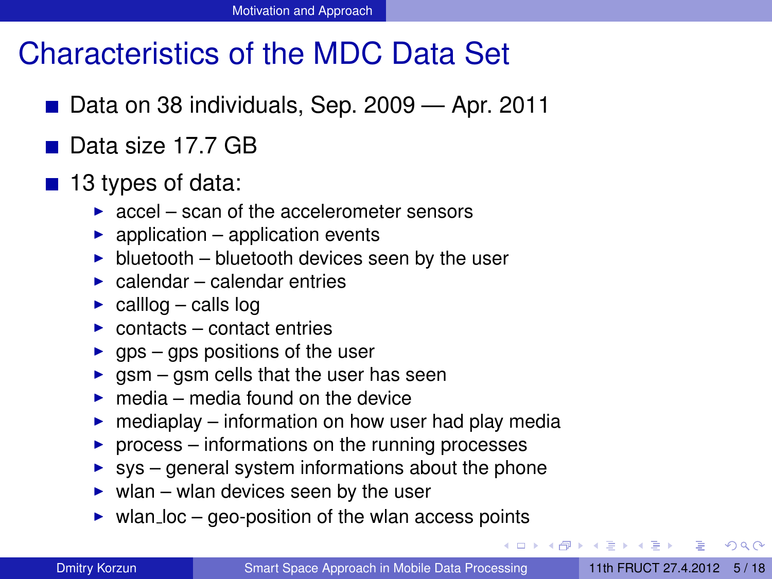### Characteristics of the MDC Data Set

- Data on 38 individuals, Sep. 2009 Apr. 2011
- Data size 17.7 GB
- $\blacksquare$  13 types of data:
	- $\triangleright$  accel scan of the accelerometer sensors
	- $\triangleright$  application application events
	- $\blacktriangleright$  bluetooth bluetooth devices seen by the user
	- $\blacktriangleright$  calendar calendar entries
	- $\triangleright$  calllog calls log
	- $\triangleright$  contacts contact entries
	- $\triangleright$  gps gps positions of the user
	- $\rightarrow$  gsm gsm cells that the user has seen
	- $\blacktriangleright$  media media found on the device
	- $\triangleright$  mediaplay information on how user had play media
	- $\triangleright$  process informations on the running processes
	- $\triangleright$  sys general system informations about the phone
	- $\triangleright$  wlan wlan devices seen by the user
	- $\triangleright$  wlan loc geo-position of the wlan access points

<span id="page-4-0"></span> $\Omega$ 

( ロ ) ( *同* ) ( ヨ ) ( ヨ )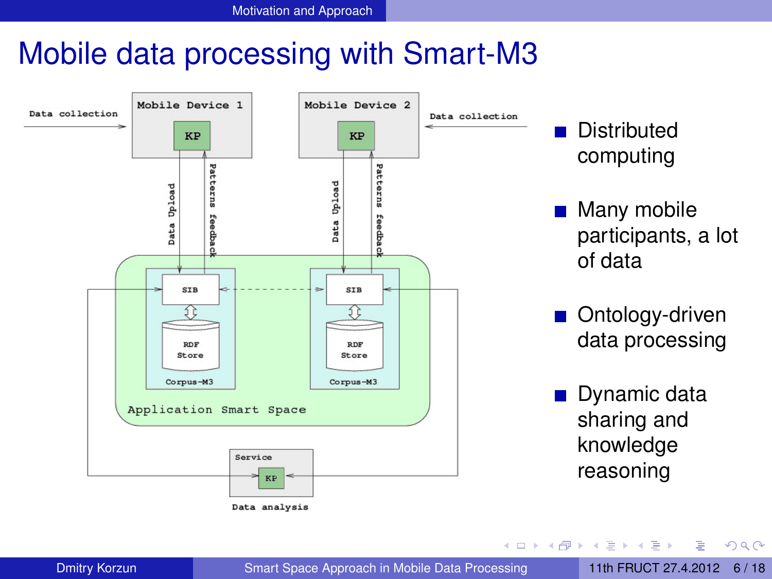#### Mobile data processing with Smart-M3



**Distributed** computing

- Many mobile participants, a lot of data
- Ontology-driven data processing
- **Dynamic data** sharing and knowledge reasoning

医单位 医单

4 ロ ト ィ *ロ* ト

Dmitry Korzun Summart Space Approach in Mobile Data Processing 11th FRUCT 27.4.2012 6/18

Þ

<span id="page-5-0"></span> $QQ$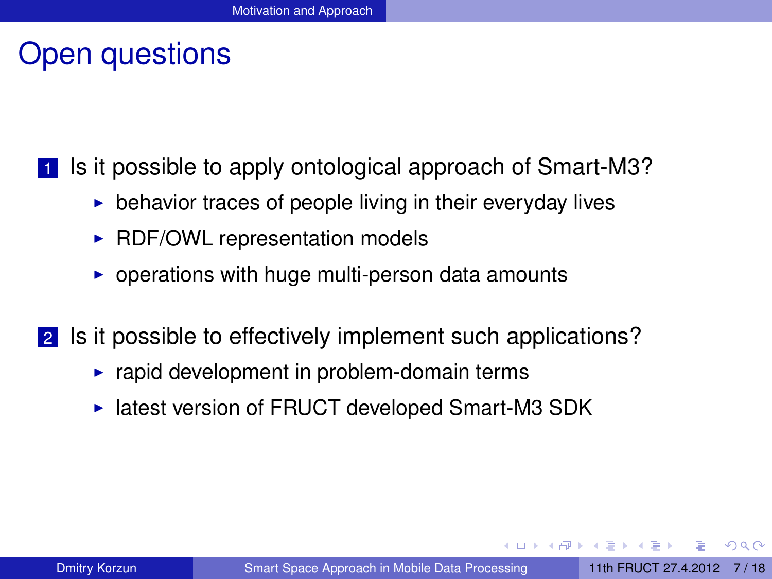#### Open questions

**1** Is it possible to apply ontological approach of Smart-M3?

- $\triangleright$  behavior traces of people living in their everyday lives
- $\triangleright$  RDF/OWL representation models
- $\triangleright$  operations with huge multi-person data amounts
- 2 Is it possible to effectively implement such applications?
	- $\blacktriangleright$  rapid development in problem-domain terms
	- $\blacktriangleright$  latest version of FRUCT developed Smart-M3 SDK

<span id="page-6-0"></span> $\Omega$ 

 $\overline{AB}$ 

4 FL 5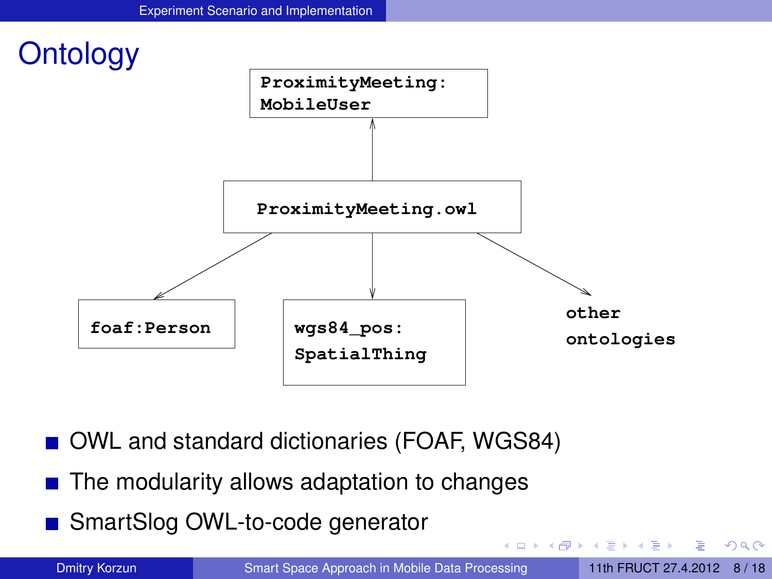

- OWL and standard dictionaries (FOAF, WGS84)
- $\blacksquare$  The modularity allows adaptation to changes
- SmartSlog OWL-to-code generator

<span id="page-7-0"></span> $QQ$ 

 $\mathbb{B}$  is a  $\mathbb{B}$  is

 $\leftarrow$   $\Box$   $\rightarrow$   $\leftarrow$   $\leftarrow$   $\Box$   $\rightarrow$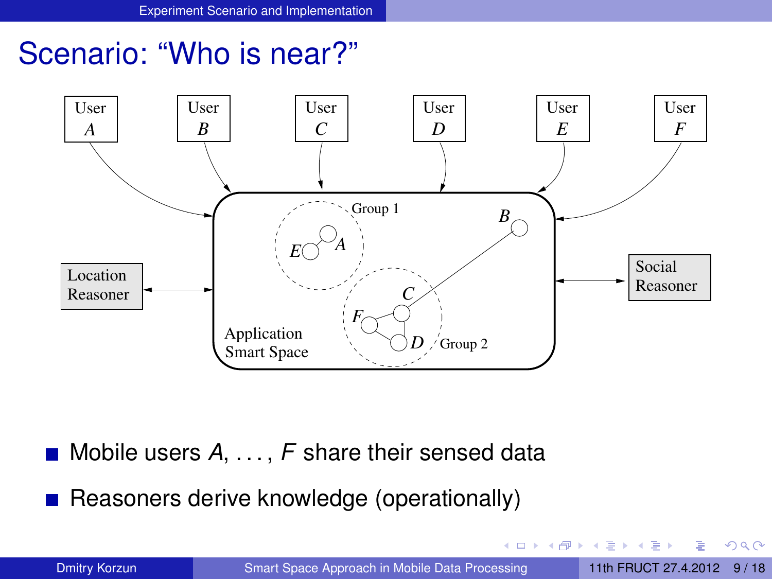#### Scenario: "Who is near?"



Mobile users *A*, . . . , *F* share their sensed data

Reasoners derive knowledge (operationally)

Dmitry Korzun Summart Space Approach in Mobile Data Processing 11th FRUCT 27.4.2012 9/18

a miller 4. 何  $\mathbf{h}$ 

<span id="page-8-0"></span> $QQ$ 

ほうしゅぼう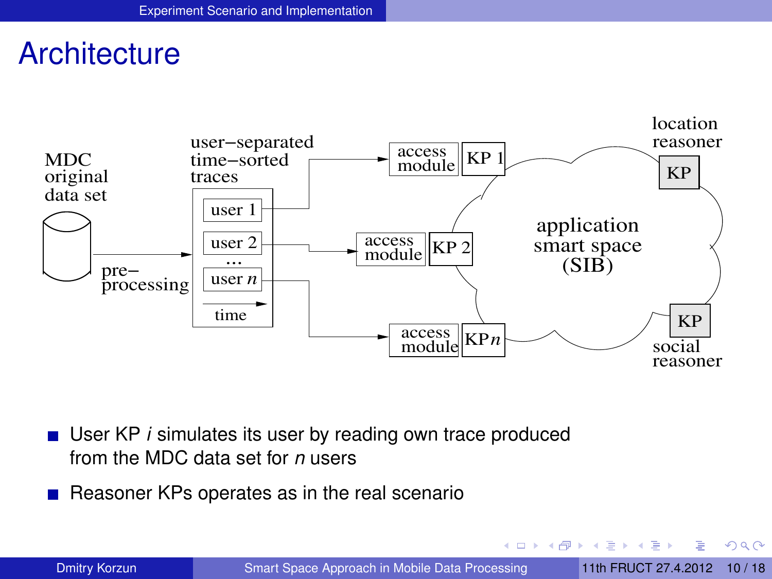#### **Architecture**



- User KP *i* simulates its user by reading own trace produced from the MDC data set for *n* users
- Reasoner KPs operates as in the real scenario

イロト イ押ト イヨト イヨト

<span id="page-9-0"></span> $QQ$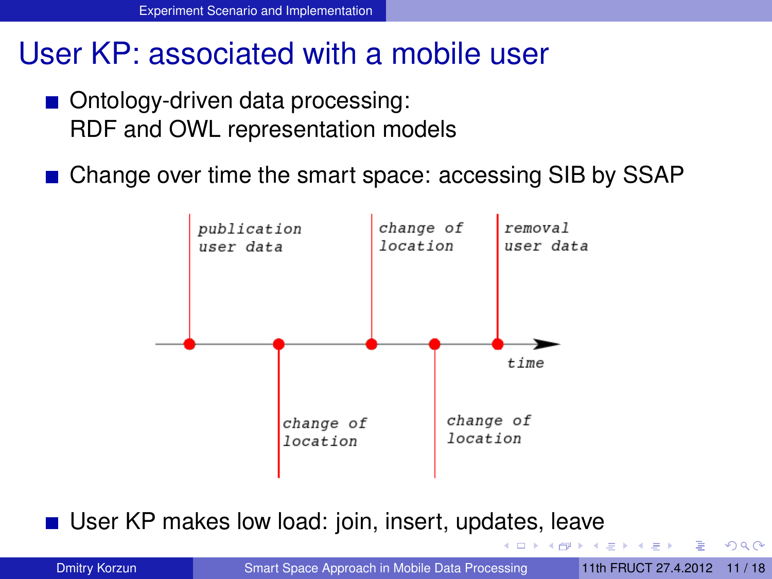#### User KP: associated with a mobile user

- Ontology-driven data processing: RDF and OWL representation models
- Change over time the smart space: accessing SIB by SSAP



User KP makes low load: join, insert, upd[ate](#page-9-0)[s,](#page-11-0) [l](#page-9-0)[ea](#page-10-0)[v](#page-11-0)[e](#page-6-0)

<span id="page-10-0"></span>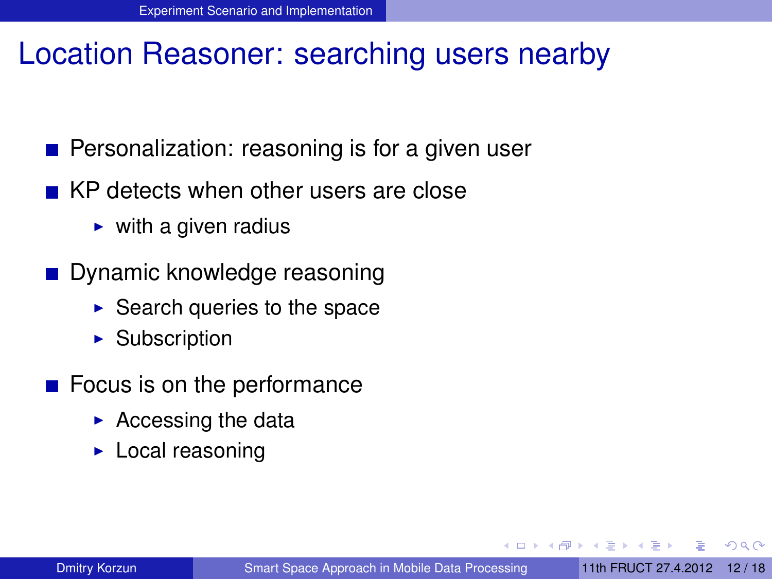#### Location Reasoner: searching users nearby

- **Personalization: reasoning is for a given user**
- KP detects when other users are close
	- $\triangleright$  with a given radius
- **Dynamic knowledge reasoning** 
	- $\triangleright$  Search queries to the space
	- $\blacktriangleright$  Subscription
- <span id="page-11-0"></span> $\blacksquare$  Focus is on the performance
	- $\blacktriangleright$  Accessing the data
	- $\blacktriangleright$  Local reasoning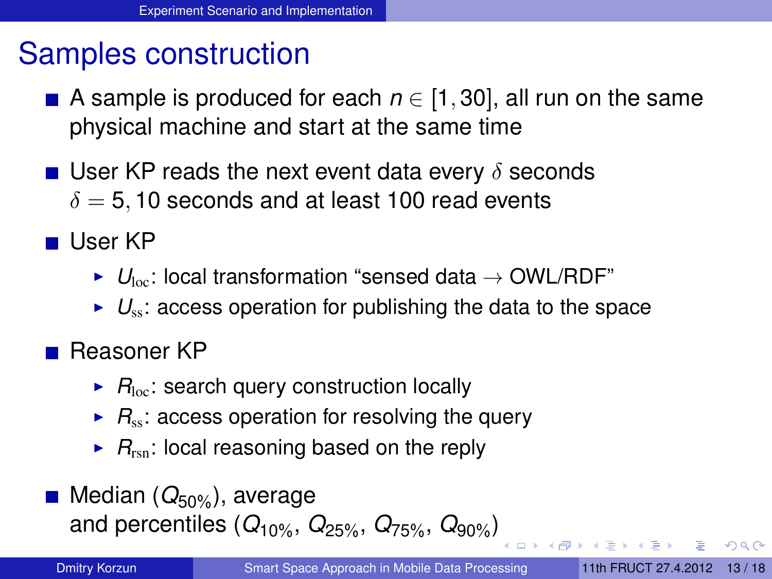### Samples construction

- A sample is produced for each  $n \in [1, 30]$ , all run on the same physical machine and start at the same time
- **User KP reads the next event data every**  $\delta$  **seconds**  $\delta = 5, 10$  seconds and at least 100 read events
- User KP
	- $\blacktriangleright$   $U_{\text{loc}}$ : local transformation "sensed data  $\rightarrow$  OWL/RDF"
	- $\triangleright$   $U_{\rm ss}$ : access operation for publishing the data to the space
- Reasoner KP
	- $\blacktriangleright$   $R_{\text{loc}}$ : search query construction locally
	- $\triangleright$   $R_{ss}$ : access operation for resolving the query
	- $\triangleright$   $R_{\text{rsn}}$ : local reasoning based on the reply
- Median (Q<sub>50%</sub>), average and percentiles (*Q*10%, *Q*25%, *Q*75%, *Q*90%[\)](#page-11-0)

<span id="page-12-0"></span> $\Omega$ 

 $($  m  $\rightarrow$   $\rightarrow$   $\stackrel{\frown}{\blacksquare}$   $\rightarrow$   $\rightarrow$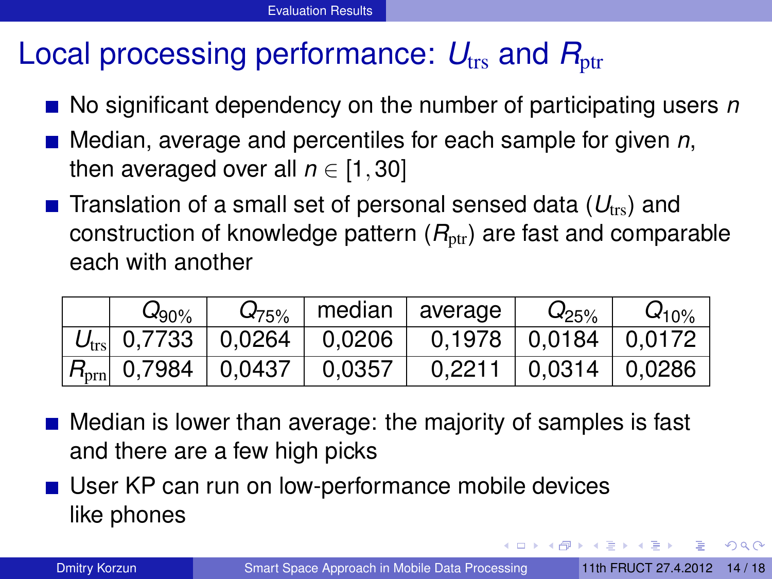### Local processing performance:  $U_{\text{trs}}$  and  $R_{\text{ptr}}$

- No significant dependency on the number of participating users *n*
- Median, average and percentiles for each sample for given *n*, then averaged over all  $n \in [1, 30]$
- **T** Translation of a small set of personal sensed data  $(U_{\text{trs}})$  and construction of knowledge pattern  $(R_{\text{ptr}})$  are fast and comparable each with another

| $\omega_{90\%}$ | $Q_{75\%}$ |                                             | median   average                                                       | $Q_{25\%}$                     | $Q_{10\%}$ |
|-----------------|------------|---------------------------------------------|------------------------------------------------------------------------|--------------------------------|------------|
|                 |            |                                             | $U_{\text{trs}}$   0,7733   0,0264   0,0206   0,1978   0,0184   0,0172 |                                |            |
|                 |            | $ R_{\text{prn}} $ 0,7984   0,0437   0,0357 |                                                                        | $0,2211$   $0,0314$   $0,0286$ |            |

- Median is lower than average: the majority of samples is fast and there are a few high picks
- User KP can run on low-performance mobile devices like phones

<span id="page-13-0"></span> $\Omega$ 

イロト イ押ト イヨト イヨトー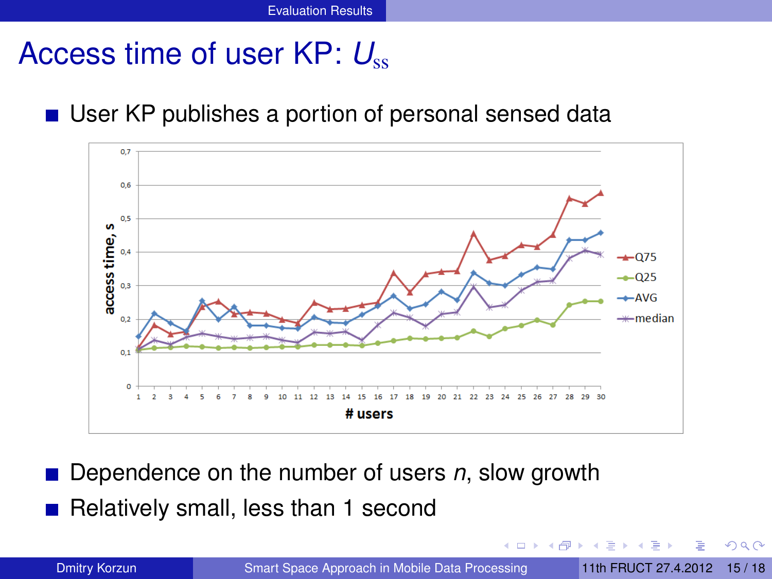### Access time of user KP:  $U_{ss}$

#### ■ User KP publishes a portion of personal sensed data



Dependence on the number of users *n*, slow growth Relatively small, less than 1 second

Dmitry Korzun [Smart Space Approach in Mobile Data Processing](#page-0-0) 11th FRUCT 27.4.2012 [15 / 18](#page-0-1)

 $-$ 

<span id="page-14-0"></span>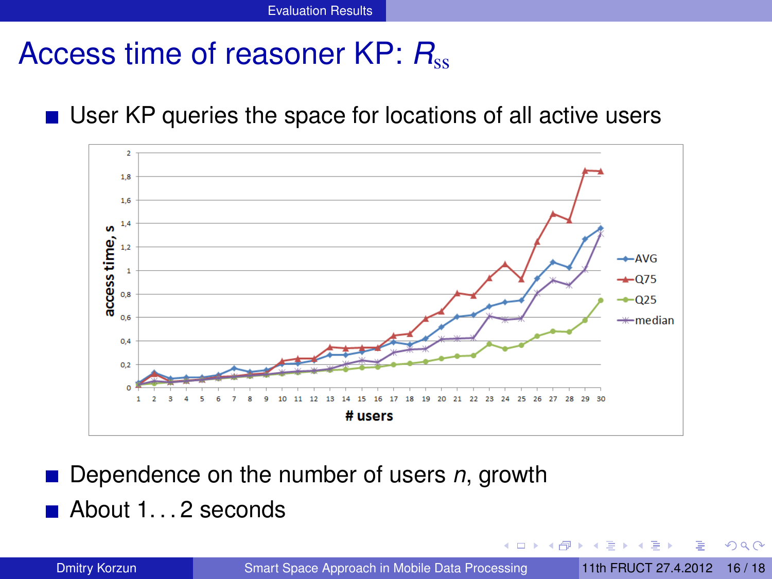### Access time of reasoner KP: R<sub>ss</sub>

#### ■ User KP queries the space for locations of all active users



Dependence on the number of users *n*, growth

■ About 1...2 seconds

Dmitry Korzun [Smart Space Approach in Mobile Data Processing](#page-0-0) 11th FRUCT 27.4.2012 [16 / 18](#page-0-1)

<span id="page-15-0"></span>4 0 5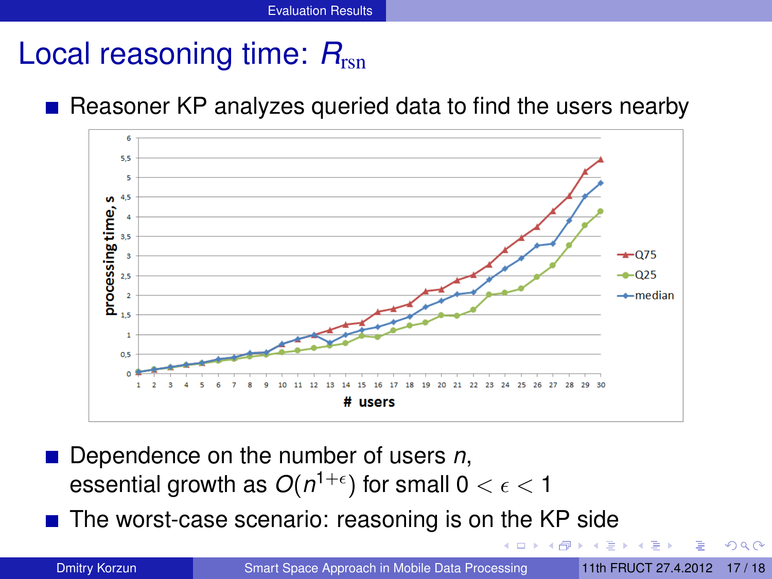## Local reasoning time:  $R_{\text{ren}}$

#### Reasoner KP analyzes queried data to find the users nearby



Dependence on the number of users *n*, essential growth as  $O(n^{1+\epsilon})$  for small 0  $<\epsilon<$  1

<span id="page-16-0"></span> $\blacksquare$  The worst-case scenario: reasoning is on the KP side